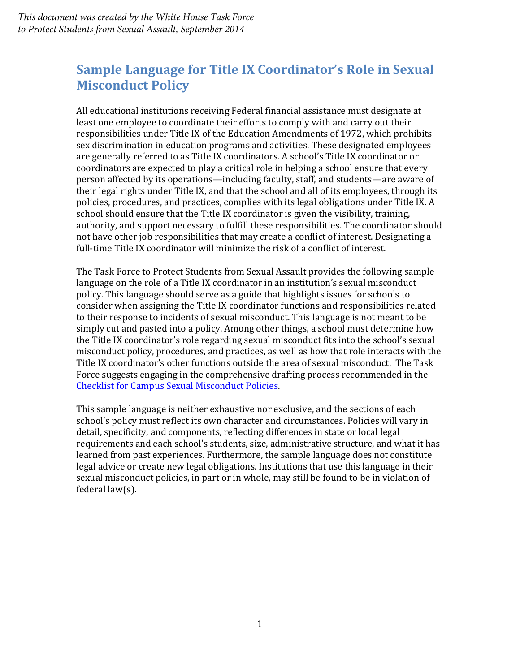*This document was created by the White House Task Force to Protect Students from Sexual Assault, September 2014*

# **Sample Language for Title IX Coordinator's Role in Sexual Misconduct Policy**

All educational institutions receiving Federal financial assistance must designate at least one employee to coordinate their efforts to comply with and carry out their responsibilities under Title IX of the Education Amendments of 1972, which prohibits sex discrimination in education programs and activities. These designated employees are generally referred to as Title IX coordinators. A school's Title IX coordinator or coordinators are expected to play a critical role in helping a school ensure that every person affected by its operations—including faculty, staff, and students—are aware of their legal rights under Title IX, and that the school and all of its employees, through its policies, procedures, and practices, complies with its legal obligations under Title IX. A school should ensure that the Title IX coordinator is given the visibility, training, authority, and support necessary to fulfill these responsibilities. The coordinator should not have other job responsibilities that may create a conflict of interest. Designating a full-time Title IX coordinator will minimize the risk of a conflict of interest.

The Task Force to Protect Students from Sexual Assault provides the following sample language on the role of a Title IX coordinator in an institution's sexual misconduct policy. This language should serve as a guide that highlights issues for schools to consider when assigning the Title IX coordinator functions and responsibilities related to their response to incidents of sexual misconduct. This language is not meant to be simply cut and pasted into a policy. Among other things, a school must determine how the Title IX coordinator's role regarding sexual misconduct fits into the school's sexual misconduct policy, procedures, and practices, as well as how that role interacts with the Title IX coordinator's other functions outside the area of sexual misconduct. The Task Force suggests engaging in the comprehensive drafting process recommended in the [Checklist for Campus Sexual Misconduct Policies.](https://www.notalone.gov/assets/checklist-for-campus-sexual-misconduct-policies.pdf) 

This sample language is neither exhaustive nor exclusive, and the sections of each school's policy must reflect its own character and circumstances. Policies will vary in detail, specificity, and components, reflecting differences in state or local legal requirements and each school's students, size, administrative structure, and what it has learned from past experiences. Furthermore, the sample language does not constitute legal advice or create new legal obligations. Institutions that use this language in their sexual misconduct policies, in part or in whole, may still be found to be in violation of federal law(s).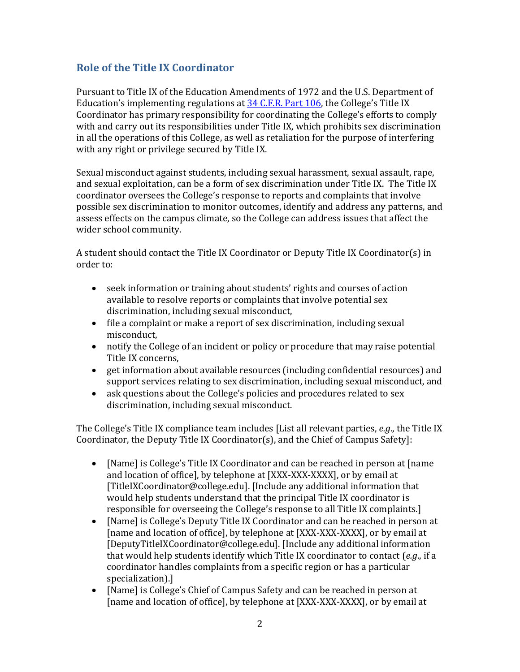## **Role of the Title IX Coordinator**

Pursuant to Title IX of the Education Amendments of 1972 and the U.S. Department of Education's implementing regulations at [34 C.F.R. Part 106,](http://www2.ed.gov/policy/rights/reg/ocr/edlite-34cfr106.html#S8) the College's Title IX Coordinator has primary responsibility for coordinating the College's efforts to comply with and carry out its responsibilities under Title IX, which prohibits sex discrimination in all the operations of this College, as well as retaliation for the purpose of interfering with any right or privilege secured by Title IX.

Sexual misconduct against students, including sexual harassment, sexual assault, rape, and sexual exploitation, can be a form of sex discrimination under Title IX. The Title IX coordinator oversees the College's response to reports and complaints that involve possible sex discrimination to monitor outcomes, identify and address any patterns, and assess effects on the campus climate, so the College can address issues that affect the wider school community.

A student should contact the Title IX Coordinator or Deputy Title IX Coordinator(s) in order to:

- seek information or training about students' rights and courses of action available to resolve reports or complaints that involve potential sex discrimination, including sexual misconduct,
- file a complaint or make a report of sex discrimination, including sexual misconduct,
- notify the College of an incident or policy or procedure that may raise potential Title IX concerns,
- get information about available resources (including confidential resources) and support services relating to sex discrimination, including sexual misconduct, and
- ask questions about the College's policies and procedures related to sex discrimination, including sexual misconduct.

The College's Title IX compliance team includes [List all relevant parties, *e.g*., the Title IX Coordinator, the Deputy Title IX Coordinator(s), and the Chief of Campus Safety]:

- [Name] is College's Title IX Coordinator and can be reached in person at [name] and location of office], by telephone at [XXX-XXX-XXXX], or by email at [TitleIXCoordinator@college.edu]. [Include any additional information that would help students understand that the principal Title IX coordinator is responsible for overseeing the College's response to all Title IX complaints.]
- [Name] is College's Deputy Title IX Coordinator and can be reached in person at [name and location of office], by telephone at [XXX-XXX-XXXX], or by email at [DeputyTitleIXCoordinator@college.edu]. [Include any additional information that would help students identify which Title IX coordinator to contact (*e.g*., if a coordinator handles complaints from a specific region or has a particular specialization).]
- [Name] is College's Chief of Campus Safety and can be reached in person at [name and location of office], by telephone at [XXX-XXX-XXXX], or by email at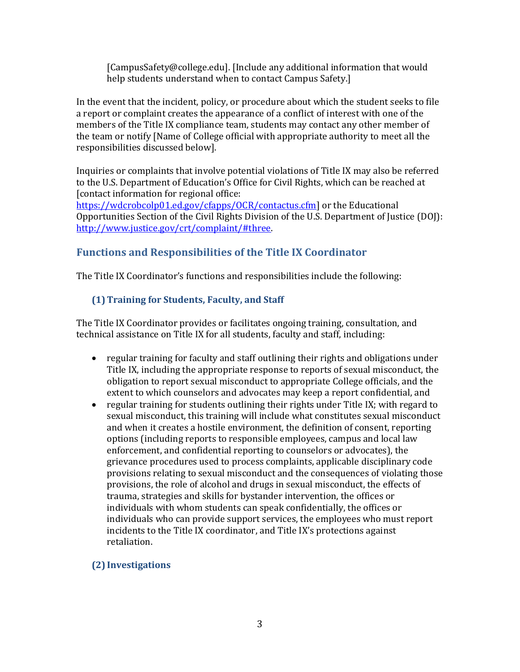[CampusSafety@college.edu]. [Include any additional information that would help students understand when to contact Campus Safety.]

In the event that the incident, policy, or procedure about which the student seeks to file a report or complaint creates the appearance of a conflict of interest with one of the members of the Title IX compliance team, students may contact any other member of the team or notify [Name of College official with appropriate authority to meet all the responsibilities discussed below].

Inquiries or complaints that involve potential violations of Title IX may also be referred to the U.S. Department of Education's Office for Civil Rights, which can be reached at [contact information for regional office:

[https://wdcrobcolp01.ed.gov/cfapps/OCR/contactus.cfm\]](https://wdcrobcolp01.ed.gov/cfapps/OCR/contactus.cfm) or the Educational Opportunities Section of the Civil Rights Division of the U.S. Department of Justice (DOJ): [http://www.justice.gov/crt/complaint/#three.](http://www.justice.gov/crt/complaint/%23three) 

# **Functions and Responsibilities of the Title IX Coordinator**

The Title IX Coordinator's functions and responsibilities include the following:

### **(1)Training for Students, Faculty, and Staff**

The Title IX Coordinator provides or facilitates ongoing training, consultation, and technical assistance on Title IX for all students, faculty and staff, including:

- regular training for faculty and staff outlining their rights and obligations under Title IX, including the appropriate response to reports of sexual misconduct, the obligation to report sexual misconduct to appropriate College officials, and the extent to which counselors and advocates may keep a report confidential, and
- regular training for students outlining their rights under Title IX; with regard to sexual misconduct, this training will include what constitutes sexual misconduct and when it creates a hostile environment, the definition of consent, reporting options (including reports to responsible employees, campus and local law enforcement, and confidential reporting to counselors or advocates), the grievance procedures used to process complaints, applicable disciplinary code provisions relating to sexual misconduct and the consequences of violating those provisions, the role of alcohol and drugs in sexual misconduct, the effects of trauma, strategies and skills for bystander intervention, the offices or individuals with whom students can speak confidentially, the offices or individuals who can provide support services, the employees who must report incidents to the Title IX coordinator, and Title IX's protections against retaliation.

#### **(2) Investigations**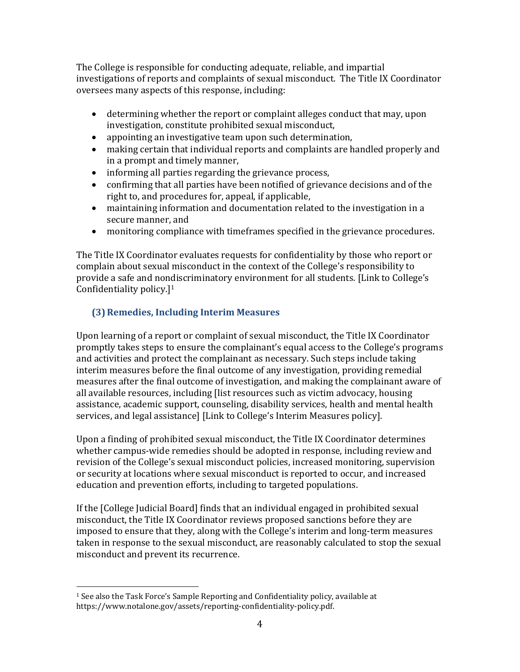The College is responsible for conducting adequate, reliable, and impartial investigations of reports and complaints of sexual misconduct. The Title IX Coordinator oversees many aspects of this response, including:

- determining whether the report or complaint alleges conduct that may, upon investigation, constitute prohibited sexual misconduct,
- appointing an investigative team upon such determination,
- making certain that individual reports and complaints are handled properly and in a prompt and timely manner,
- informing all parties regarding the grievance process,
- confirming that all parties have been notified of grievance decisions and of the right to, and procedures for, appeal, if applicable,
- maintaining information and documentation related to the investigation in a secure manner, and
- monitoring compliance with timeframes specified in the grievance procedures.

The Title IX Coordinator evaluates requests for confidentiality by those who report or complain about sexual misconduct in the context of the College's responsibility to provide a safe and nondiscriminatory environment for all students. [Link to College's Confidentiality policy.]<sup>1</sup>

# **(3)Remedies, Including Interim Measures**

Upon learning of a report or complaint of sexual misconduct, the Title IX Coordinator promptly takes steps to ensure the complainant's equal access to the College's programs and activities and protect the complainant as necessary. Such steps include taking interim measures before the final outcome of any investigation, providing remedial measures after the final outcome of investigation, and making the complainant aware of all available resources, including [list resources such as victim advocacy, housing assistance, academic support, counseling, disability services, health and mental health services, and legal assistance] [Link to College's Interim Measures policy].

Upon a finding of prohibited sexual misconduct, the Title IX Coordinator determines whether campus-wide remedies should be adopted in response, including review and revision of the College's sexual misconduct policies, increased monitoring, supervision or security at locations where sexual misconduct is reported to occur, and increased education and prevention efforts, including to targeted populations.

If the [College Judicial Board] finds that an individual engaged in prohibited sexual misconduct, the Title IX Coordinator reviews proposed sanctions before they are imposed to ensure that they, along with the College's interim and long-term measures taken in response to the sexual misconduct, are reasonably calculated to stop the sexual misconduct and prevent its recurrence.

 $\overline{\phantom{a}}$ 

<sup>1</sup> See also the Task Force's Sample Reporting and Confidentiality policy, available at https://www.notalone.gov/assets/reporting-confidentiality-policy.pdf.